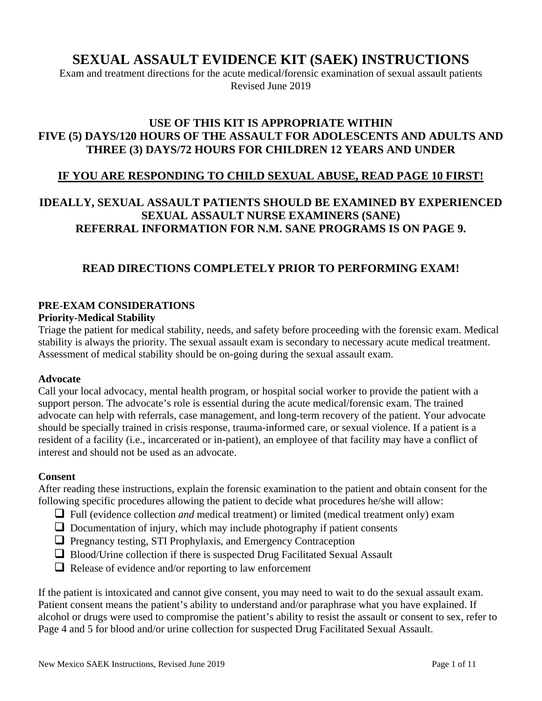# **SEXUAL ASSAULT EVIDENCE KIT (SAEK) INSTRUCTIONS**

Exam and treatment directions for the acute medical/forensic examination of sexual assault patients Revised June 2019

## **USE OF THIS KIT IS APPROPRIATE WITHIN FIVE (5) DAYS/120 HOURS OF THE ASSAULT FOR ADOLESCENTS AND ADULTS AND THREE (3) DAYS/72 HOURS FOR CHILDREN 12 YEARS AND UNDER**

## **IF YOU ARE RESPONDING TO CHILD SEXUAL ABUSE, READ PAGE 10 FIRST!**

## **IDEALLY, SEXUAL ASSAULT PATIENTS SHOULD BE EXAMINED BY EXPERIENCED SEXUAL ASSAULT NURSE EXAMINERS (SANE) REFERRAL INFORMATION FOR N.M. SANE PROGRAMS IS ON PAGE 9.**

## **READ DIRECTIONS COMPLETELY PRIOR TO PERFORMING EXAM!**

### **PRE-EXAM CONSIDERATIONS**

#### **Priority-Medical Stability**

Triage the patient for medical stability, needs, and safety before proceeding with the forensic exam. Medical stability is always the priority. The sexual assault exam is secondary to necessary acute medical treatment. Assessment of medical stability should be on-going during the sexual assault exam.

#### **Advocate**

Call your local advocacy, mental health program, or hospital social worker to provide the patient with a support person. The advocate's role is essential during the acute medical/forensic exam. The trained advocate can help with referrals, case management, and long-term recovery of the patient. Your advocate should be specially trained in crisis response, trauma-informed care, or sexual violence. If a patient is a resident of a facility (i.e., incarcerated or in-patient), an employee of that facility may have a conflict of interest and should not be used as an advocate.

#### **Consent**

After reading these instructions, explain the forensic examination to the patient and obtain consent for the following specific procedures allowing the patient to decide what procedures he/she will allow:

- Full (evidence collection *and* medical treatment) or limited (medical treatment only) exam
- Documentation of injury, which may include photography if patient consents
- $\Box$  Pregnancy testing, STI Prophylaxis, and Emergency Contraception
- $\Box$  Blood/Urine collection if there is suspected Drug Facilitated Sexual Assault
- $\Box$  Release of evidence and/or reporting to law enforcement

If the patient is intoxicated and cannot give consent, you may need to wait to do the sexual assault exam. Patient consent means the patient's ability to understand and/or paraphrase what you have explained. If alcohol or drugs were used to compromise the patient's ability to resist the assault or consent to sex, refer to Page 4 and 5 for blood and/or urine collection for suspected Drug Facilitated Sexual Assault.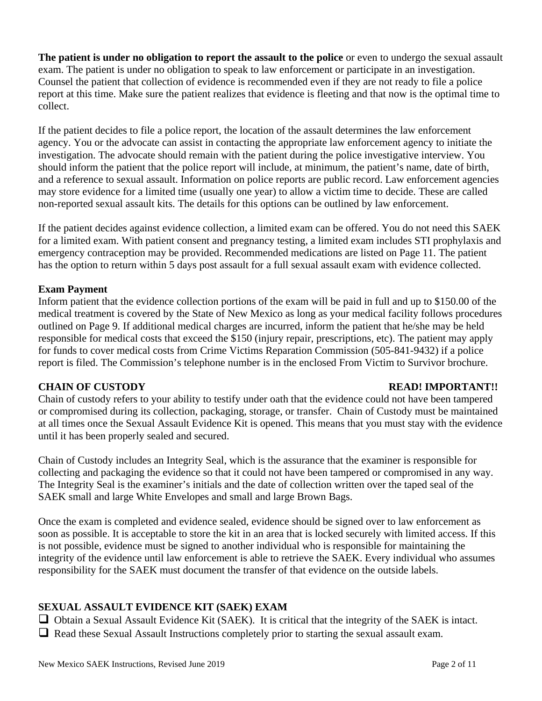**The patient is under no obligation to report the assault to the police** or even to undergo the sexual assault exam. The patient is under no obligation to speak to law enforcement or participate in an investigation. Counsel the patient that collection of evidence is recommended even if they are not ready to file a police report at this time. Make sure the patient realizes that evidence is fleeting and that now is the optimal time to collect.

If the patient decides to file a police report, the location of the assault determines the law enforcement agency. You or the advocate can assist in contacting the appropriate law enforcement agency to initiate the investigation. The advocate should remain with the patient during the police investigative interview. You should inform the patient that the police report will include, at minimum, the patient's name, date of birth, and a reference to sexual assault. Information on police reports are public record. Law enforcement agencies may store evidence for a limited time (usually one year) to allow a victim time to decide. These are called non-reported sexual assault kits. The details for this options can be outlined by law enforcement.

If the patient decides against evidence collection, a limited exam can be offered. You do not need this SAEK for a limited exam. With patient consent and pregnancy testing, a limited exam includes STI prophylaxis and emergency contraception may be provided. Recommended medications are listed on Page 11. The patient has the option to return within 5 days post assault for a full sexual assault exam with evidence collected.

#### **Exam Payment**

Inform patient that the evidence collection portions of the exam will be paid in full and up to \$150.00 of the medical treatment is covered by the State of New Mexico as long as your medical facility follows procedures outlined on Page 9. If additional medical charges are incurred, inform the patient that he/she may be held responsible for medical costs that exceed the \$150 (injury repair, prescriptions, etc). The patient may apply for funds to cover medical costs from Crime Victims Reparation Commission (505-841-9432) if a police report is filed. The Commission's telephone number is in the enclosed From Victim to Survivor brochure.

#### **CHAIN OF CUSTODY READ! IMPORTANT!!**

Chain of custody refers to your ability to testify under oath that the evidence could not have been tampered or compromised during its collection, packaging, storage, or transfer. Chain of Custody must be maintained at all times once the Sexual Assault Evidence Kit is opened. This means that you must stay with the evidence until it has been properly sealed and secured.

Chain of Custody includes an Integrity Seal, which is the assurance that the examiner is responsible for collecting and packaging the evidence so that it could not have been tampered or compromised in any way. The Integrity Seal is the examiner's initials and the date of collection written over the taped seal of the SAEK small and large White Envelopes and small and large Brown Bags.

Once the exam is completed and evidence sealed, evidence should be signed over to law enforcement as soon as possible. It is acceptable to store the kit in an area that is locked securely with limited access. If this is not possible, evidence must be signed to another individual who is responsible for maintaining the integrity of the evidence until law enforcement is able to retrieve the SAEK. Every individual who assumes responsibility for the SAEK must document the transfer of that evidence on the outside labels.

## **SEXUAL ASSAULT EVIDENCE KIT (SAEK) EXAM**

 Obtain a Sexual Assault Evidence Kit (SAEK). It is critical that the integrity of the SAEK is intact.  $\Box$  Read these Sexual Assault Instructions completely prior to starting the sexual assault exam.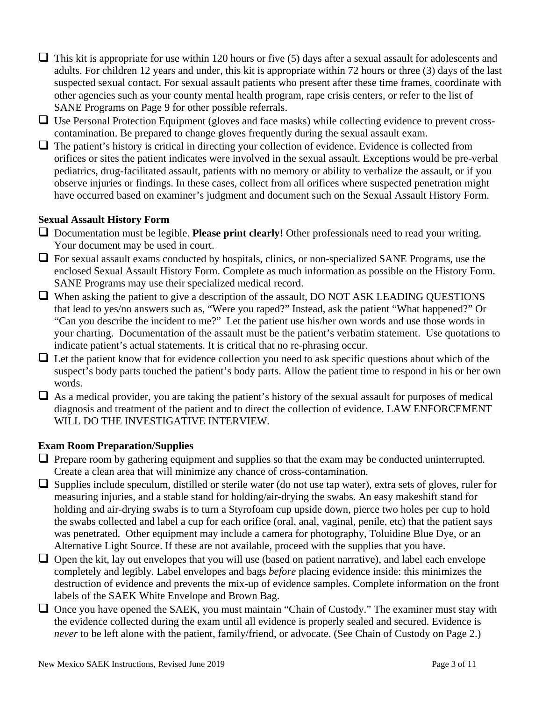- $\Box$  This kit is appropriate for use within 120 hours or five (5) days after a sexual assault for adolescents and adults. For children 12 years and under, this kit is appropriate within 72 hours or three (3) days of the last suspected sexual contact. For sexual assault patients who present after these time frames, coordinate with other agencies such as your county mental health program, rape crisis centers, or refer to the list of SANE Programs on Page 9 for other possible referrals.
- $\Box$  Use Personal Protection Equipment (gloves and face masks) while collecting evidence to prevent crosscontamination. Be prepared to change gloves frequently during the sexual assault exam.
- $\Box$  The patient's history is critical in directing your collection of evidence. Evidence is collected from orifices or sites the patient indicates were involved in the sexual assault. Exceptions would be pre-verbal pediatrics, drug-facilitated assault, patients with no memory or ability to verbalize the assault, or if you observe injuries or findings. In these cases, collect from all orifices where suspected penetration might have occurred based on examiner's judgment and document such on the Sexual Assault History Form.

#### **Sexual Assault History Form**

- □ Documentation must be legible. **Please print clearly!** Other professionals need to read your writing. Your document may be used in court.
- $\Box$  For sexual assault exams conducted by hospitals, clinics, or non-specialized SANE Programs, use the enclosed Sexual Assault History Form. Complete as much information as possible on the History Form. SANE Programs may use their specialized medical record.
- $\Box$  When asking the patient to give a description of the assault, DO NOT ASK LEADING QUESTIONS that lead to yes/no answers such as, "Were you raped?" Instead, ask the patient "What happened?" Or "Can you describe the incident to me?" Let the patient use his/her own words and use those words in your charting. Documentation of the assault must be the patient's verbatim statement. Use quotations to indicate patient's actual statements. It is critical that no re-phrasing occur.
- $\Box$  Let the patient know that for evidence collection you need to ask specific questions about which of the suspect's body parts touched the patient's body parts. Allow the patient time to respond in his or her own words.
- $\Box$  As a medical provider, you are taking the patient's history of the sexual assault for purposes of medical diagnosis and treatment of the patient and to direct the collection of evidence. LAW ENFORCEMENT WILL DO THE INVESTIGATIVE INTERVIEW.

#### **Exam Room Preparation/Supplies**

- $\Box$  Prepare room by gathering equipment and supplies so that the exam may be conducted uninterrupted. Create a clean area that will minimize any chance of cross-contamination.
- $\Box$  Supplies include speculum, distilled or sterile water (do not use tap water), extra sets of gloves, ruler for measuring injuries, and a stable stand for holding/air-drying the swabs. An easy makeshift stand for holding and air-drying swabs is to turn a Styrofoam cup upside down, pierce two holes per cup to hold the swabs collected and label a cup for each orifice (oral, anal, vaginal, penile, etc) that the patient says was penetrated. Other equipment may include a camera for photography, Toluidine Blue Dye, or an Alternative Light Source. If these are not available, proceed with the supplies that you have.
- $\Box$  Open the kit, lay out envelopes that you will use (based on patient narrative), and label each envelope completely and legibly. Label envelopes and bags *before* placing evidence inside: this minimizes the destruction of evidence and prevents the mix-up of evidence samples. Complete information on the front labels of the SAEK White Envelope and Brown Bag.
- $\Box$  Once you have opened the SAEK, you must maintain "Chain of Custody." The examiner must stay with the evidence collected during the exam until all evidence is properly sealed and secured. Evidence is *never* to be left alone with the patient, family/friend, or advocate. (See Chain of Custody on Page 2.)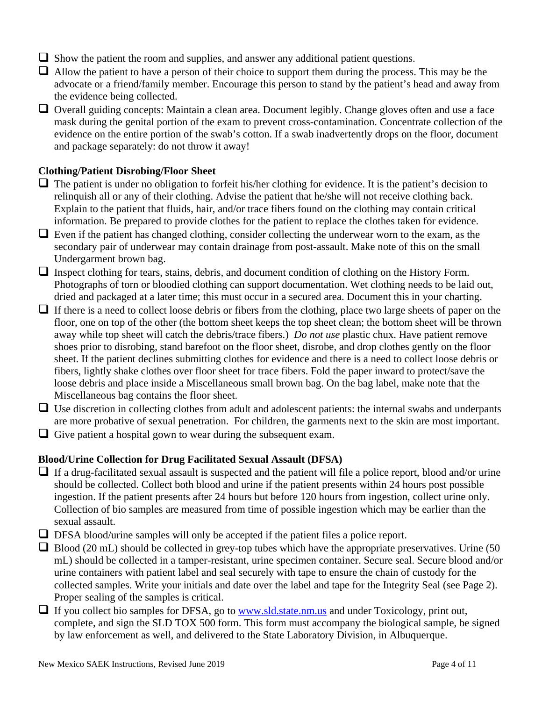- $\Box$  Show the patient the room and supplies, and answer any additional patient questions.
- $\Box$  Allow the patient to have a person of their choice to support them during the process. This may be the advocate or a friend/family member. Encourage this person to stand by the patient's head and away from the evidence being collected.
- $\Box$  Overall guiding concepts: Maintain a clean area. Document legibly. Change gloves often and use a face mask during the genital portion of the exam to prevent cross-contamination. Concentrate collection of the evidence on the entire portion of the swab's cotton. If a swab inadvertently drops on the floor, document and package separately: do not throw it away!

### **Clothing/Patient Disrobing/Floor Sheet**

- $\Box$  The patient is under no obligation to forfeit his/her clothing for evidence. It is the patient's decision to relinquish all or any of their clothing. Advise the patient that he/she will not receive clothing back. Explain to the patient that fluids, hair, and/or trace fibers found on the clothing may contain critical information. Be prepared to provide clothes for the patient to replace the clothes taken for evidence.
- $\Box$  Even if the patient has changed clothing, consider collecting the underwear worn to the exam, as the secondary pair of underwear may contain drainage from post-assault. Make note of this on the small Undergarment brown bag.
- $\Box$  Inspect clothing for tears, stains, debris, and document condition of clothing on the History Form. Photographs of torn or bloodied clothing can support documentation. Wet clothing needs to be laid out, dried and packaged at a later time; this must occur in a secured area. Document this in your charting.
- $\Box$  If there is a need to collect loose debris or fibers from the clothing, place two large sheets of paper on the floor, one on top of the other (the bottom sheet keeps the top sheet clean; the bottom sheet will be thrown away while top sheet will catch the debris/trace fibers.) *Do not use* plastic chux. Have patient remove shoes prior to disrobing, stand barefoot on the floor sheet, disrobe, and drop clothes gently on the floor sheet. If the patient declines submitting clothes for evidence and there is a need to collect loose debris or fibers, lightly shake clothes over floor sheet for trace fibers. Fold the paper inward to protect/save the loose debris and place inside a Miscellaneous small brown bag. On the bag label, make note that the Miscellaneous bag contains the floor sheet.
- $\Box$  Use discretion in collecting clothes from adult and adolescent patients: the internal swabs and underpants are more probative of sexual penetration. For children, the garments next to the skin are most important.
- $\Box$  Give patient a hospital gown to wear during the subsequent exam.

#### **Blood/Urine Collection for Drug Facilitated Sexual Assault (DFSA)**

- $\Box$  If a drug-facilitated sexual assault is suspected and the patient will file a police report, blood and/or urine should be collected. Collect both blood and urine if the patient presents within 24 hours post possible ingestion. If the patient presents after 24 hours but before 120 hours from ingestion, collect urine only. Collection of bio samples are measured from time of possible ingestion which may be earlier than the sexual assault.
- $\Box$  DFSA blood/urine samples will only be accepted if the patient files a police report.
- $\Box$  Blood (20 mL) should be collected in grey-top tubes which have the appropriate preservatives. Urine (50 mL) should be collected in a tamper-resistant, urine specimen container. Secure seal. Secure blood and/or urine containers with patient label and seal securely with tape to ensure the chain of custody for the collected samples. Write your initials and date over the label and tape for the Integrity Seal (see Page 2). Proper sealing of the samples is critical.
- $\Box$  If you collect bio samples for DFSA, go to www.sld.state.nm.us and under Toxicology, print out, complete, and sign the SLD TOX 500 form. This form must accompany the biological sample, be signed by law enforcement as well, and delivered to the State Laboratory Division, in Albuquerque.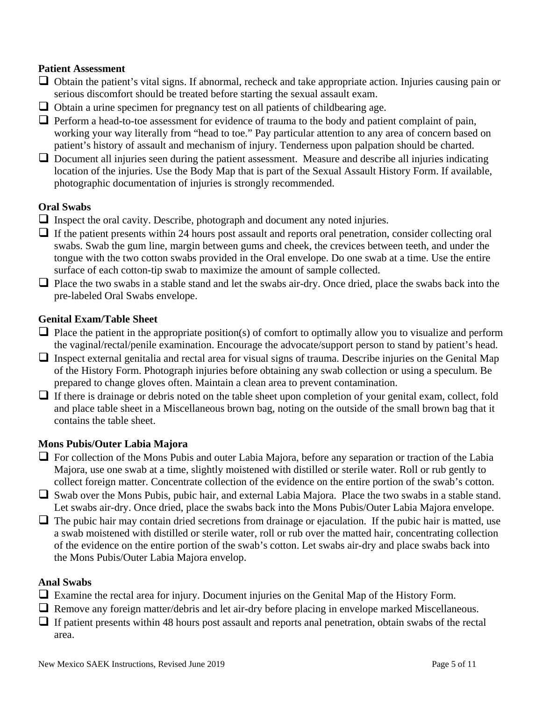#### **Patient Assessment**

- Obtain the patient's vital signs. If abnormal, recheck and take appropriate action. Injuries causing pain or serious discomfort should be treated before starting the sexual assault exam.
- $\Box$  Obtain a urine specimen for pregnancy test on all patients of childbearing age.
- $\Box$  Perform a head-to-toe assessment for evidence of trauma to the body and patient complaint of pain, working your way literally from "head to toe." Pay particular attention to any area of concern based on patient's history of assault and mechanism of injury. Tenderness upon palpation should be charted.
- Document all injuries seen during the patient assessment. Measure and describe all injuries indicating location of the injuries. Use the Body Map that is part of the Sexual Assault History Form. If available, photographic documentation of injuries is strongly recommended.

#### **Oral Swabs**

- $\Box$  Inspect the oral cavity. Describe, photograph and document any noted injuries.
- $\Box$  If the patient presents within 24 hours post assault and reports oral penetration, consider collecting oral swabs. Swab the gum line, margin between gums and cheek, the crevices between teeth, and under the tongue with the two cotton swabs provided in the Oral envelope. Do one swab at a time. Use the entire surface of each cotton-tip swab to maximize the amount of sample collected.
- $\Box$  Place the two swabs in a stable stand and let the swabs air-dry. Once dried, place the swabs back into the pre-labeled Oral Swabs envelope.

#### **Genital Exam/Table Sheet**

- $\Box$  Place the patient in the appropriate position(s) of comfort to optimally allow you to visualize and perform the vaginal/rectal/penile examination. Encourage the advocate/support person to stand by patient's head.
- $\Box$  Inspect external genitalia and rectal area for visual signs of trauma. Describe injuries on the Genital Map of the History Form. Photograph injuries before obtaining any swab collection or using a speculum. Be prepared to change gloves often. Maintain a clean area to prevent contamination.
- $\Box$  If there is drainage or debris noted on the table sheet upon completion of your genital exam, collect, fold and place table sheet in a Miscellaneous brown bag, noting on the outside of the small brown bag that it contains the table sheet.

#### **Mons Pubis/Outer Labia Majora**

- $\Box$  For collection of the Mons Pubis and outer Labia Majora, before any separation or traction of the Labia Majora, use one swab at a time, slightly moistened with distilled or sterile water. Roll or rub gently to collect foreign matter. Concentrate collection of the evidence on the entire portion of the swab's cotton.
- Swab over the Mons Pubis, pubic hair, and external Labia Majora. Place the two swabs in a stable stand. Let swabs air-dry. Once dried, place the swabs back into the Mons Pubis/Outer Labia Majora envelope.
- $\Box$  The pubic hair may contain dried secretions from drainage or ejaculation. If the pubic hair is matted, use a swab moistened with distilled or sterile water, roll or rub over the matted hair, concentrating collection of the evidence on the entire portion of the swab's cotton. Let swabs air-dry and place swabs back into the Mons Pubis/Outer Labia Majora envelop.

#### **Anal Swabs**

- $\Box$  Examine the rectal area for injury. Document injuries on the Genital Map of the History Form.
- $\Box$  Remove any foreign matter/debris and let air-dry before placing in envelope marked Miscellaneous.
- $\Box$  If patient presents within 48 hours post assault and reports anal penetration, obtain swabs of the rectal area.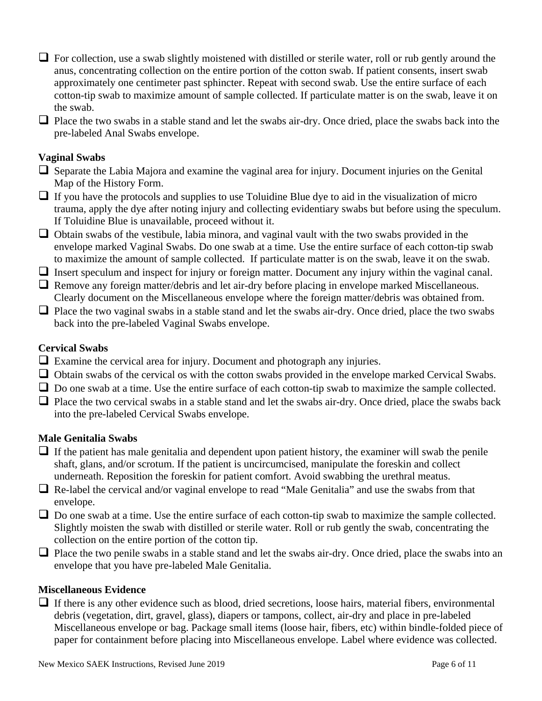- $\Box$  For collection, use a swab slightly moistened with distilled or sterile water, roll or rub gently around the anus, concentrating collection on the entire portion of the cotton swab. If patient consents, insert swab approximately one centimeter past sphincter. Repeat with second swab. Use the entire surface of each cotton-tip swab to maximize amount of sample collected. If particulate matter is on the swab, leave it on the swab.
- $\Box$  Place the two swabs in a stable stand and let the swabs air-dry. Once dried, place the swabs back into the pre-labeled Anal Swabs envelope.

#### **Vaginal Swabs**

- $\Box$  Separate the Labia Majora and examine the vaginal area for injury. Document injuries on the Genital Map of the History Form.
- $\Box$  If you have the protocols and supplies to use Toluidine Blue dye to aid in the visualization of micro trauma, apply the dye after noting injury and collecting evidentiary swabs but before using the speculum. If Toluidine Blue is unavailable, proceed without it.
- $\Box$  Obtain swabs of the vestibule, labia minora, and vaginal vault with the two swabs provided in the envelope marked Vaginal Swabs. Do one swab at a time. Use the entire surface of each cotton-tip swab to maximize the amount of sample collected. If particulate matter is on the swab, leave it on the swab.
- $\Box$  Insert speculum and inspect for injury or foreign matter. Document any injury within the vaginal canal.
- Remove any foreign matter/debris and let air-dry before placing in envelope marked Miscellaneous. Clearly document on the Miscellaneous envelope where the foreign matter/debris was obtained from.
- $\Box$  Place the two vaginal swabs in a stable stand and let the swabs air-dry. Once dried, place the two swabs back into the pre-labeled Vaginal Swabs envelope.

#### **Cervical Swabs**

- $\Box$  Examine the cervical area for injury. Document and photograph any injuries.
- $\Box$  Obtain swabs of the cervical os with the cotton swabs provided in the envelope marked Cervical Swabs.
- $\Box$  Do one swab at a time. Use the entire surface of each cotton-tip swab to maximize the sample collected.
- $\Box$  Place the two cervical swabs in a stable stand and let the swabs air-dry. Once dried, place the swabs back into the pre-labeled Cervical Swabs envelope.

### **Male Genitalia Swabs**

- $\Box$  If the patient has male genitalia and dependent upon patient history, the examiner will swab the penile shaft, glans, and/or scrotum. If the patient is uncircumcised, manipulate the foreskin and collect underneath. Reposition the foreskin for patient comfort. Avoid swabbing the urethral meatus.
- $\Box$  Re-label the cervical and/or vaginal envelope to read "Male Genitalia" and use the swabs from that envelope.
- Do one swab at a time. Use the entire surface of each cotton-tip swab to maximize the sample collected. Slightly moisten the swab with distilled or sterile water. Roll or rub gently the swab, concentrating the collection on the entire portion of the cotton tip.
- $\Box$  Place the two penile swabs in a stable stand and let the swabs air-dry. Once dried, place the swabs into an envelope that you have pre-labeled Male Genitalia.

#### **Miscellaneous Evidence**

 $\Box$  If there is any other evidence such as blood, dried secretions, loose hairs, material fibers, environmental debris (vegetation, dirt, gravel, glass), diapers or tampons, collect, air-dry and place in pre-labeled Miscellaneous envelope or bag. Package small items (loose hair, fibers, etc) within bindle-folded piece of paper for containment before placing into Miscellaneous envelope. Label where evidence was collected.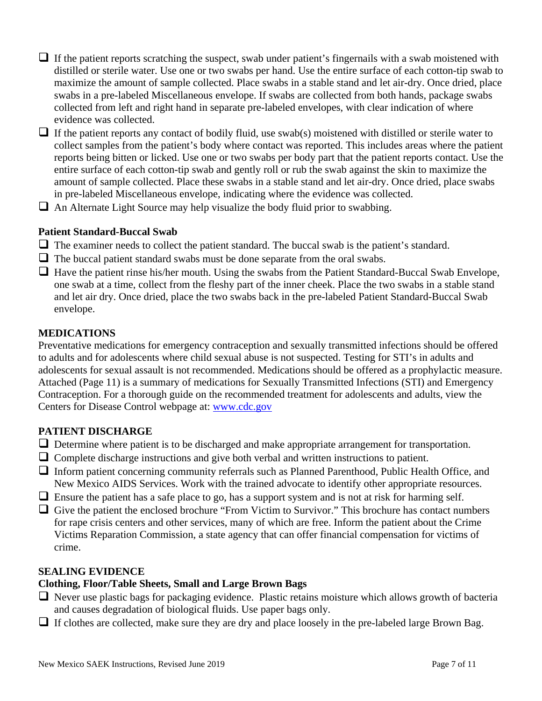$\Box$  If the patient reports scratching the suspect, swab under patient's fingernails with a swab moistened with distilled or sterile water. Use one or two swabs per hand. Use the entire surface of each cotton-tip swab to maximize the amount of sample collected. Place swabs in a stable stand and let air-dry. Once dried, place swabs in a pre-labeled Miscellaneous envelope. If swabs are collected from both hands, package swabs collected from left and right hand in separate pre-labeled envelopes, with clear indication of where evidence was collected.

- If the patient reports any contact of bodily fluid, use swab(s) moistened with distilled or sterile water to collect samples from the patient's body where contact was reported. This includes areas where the patient reports being bitten or licked. Use one or two swabs per body part that the patient reports contact. Use the entire surface of each cotton-tip swab and gently roll or rub the swab against the skin to maximize the amount of sample collected. Place these swabs in a stable stand and let air-dry. Once dried, place swabs in pre-labeled Miscellaneous envelope, indicating where the evidence was collected.
- $\Box$  An Alternate Light Source may help visualize the body fluid prior to swabbing.

## **Patient Standard-Buccal Swab**

- $\Box$  The examiner needs to collect the patient standard. The buccal swab is the patient's standard.
- $\Box$  The buccal patient standard swabs must be done separate from the oral swabs.
- $\Box$  Have the patient rinse his/her mouth. Using the swabs from the Patient Standard-Buccal Swab Envelope, one swab at a time, collect from the fleshy part of the inner cheek. Place the two swabs in a stable stand and let air dry. Once dried, place the two swabs back in the pre-labeled Patient Standard-Buccal Swab envelope.

## **MEDICATIONS**

Preventative medications for emergency contraception and sexually transmitted infections should be offered to adults and for adolescents where child sexual abuse is not suspected. Testing for STI's in adults and adolescents for sexual assault is not recommended. Medications should be offered as a prophylactic measure. Attached (Page 11) is a summary of medications for Sexually Transmitted Infections (STI) and Emergency Contraception. For a thorough guide on the recommended treatment for adolescents and adults, view the Centers for Disease Control webpage at: www.cdc.gov

## **PATIENT DISCHARGE**

- $\Box$  Determine where patient is to be discharged and make appropriate arrangement for transportation.
- $\Box$  Complete discharge instructions and give both verbal and written instructions to patient.
- $\Box$  Inform patient concerning community referrals such as Planned Parenthood, Public Health Office, and New Mexico AIDS Services. Work with the trained advocate to identify other appropriate resources.
- $\Box$  Ensure the patient has a safe place to go, has a support system and is not at risk for harming self.
- $\Box$  Give the patient the enclosed brochure "From Victim to Survivor." This brochure has contact numbers for rape crisis centers and other services, many of which are free. Inform the patient about the Crime Victims Reparation Commission, a state agency that can offer financial compensation for victims of crime.

### **SEALING EVIDENCE**

## **Clothing, Floor/Table Sheets, Small and Large Brown Bags**

- $\Box$  Never use plastic bags for packaging evidence. Plastic retains moisture which allows growth of bacteria and causes degradation of biological fluids. Use paper bags only.
- $\Box$  If clothes are collected, make sure they are dry and place loosely in the pre-labeled large Brown Bag.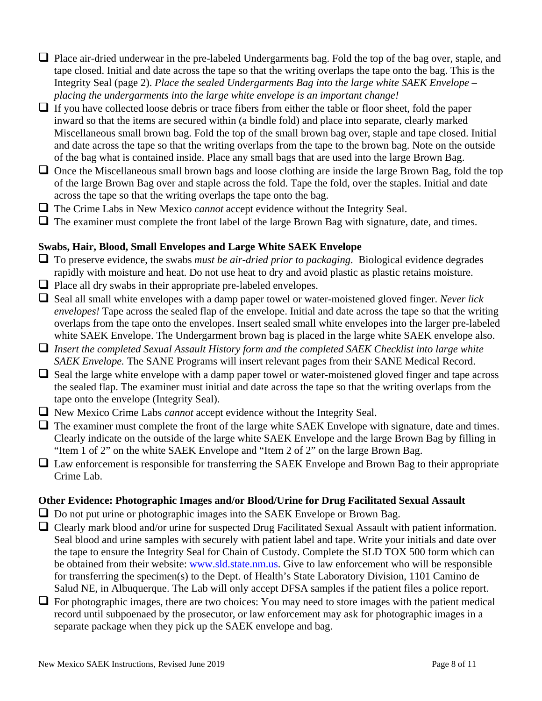- $\Box$  Place air-dried underwear in the pre-labeled Undergarments bag. Fold the top of the bag over, staple, and tape closed. Initial and date across the tape so that the writing overlaps the tape onto the bag. This is the Integrity Seal (page 2). *Place the sealed Undergarments Bag into the large white SAEK Envelope – placing the undergarments into the large white envelope is an important change!*
- $\Box$  If you have collected loose debris or trace fibers from either the table or floor sheet, fold the paper inward so that the items are secured within (a bindle fold) and place into separate, clearly marked Miscellaneous small brown bag. Fold the top of the small brown bag over, staple and tape closed. Initial and date across the tape so that the writing overlaps from the tape to the brown bag. Note on the outside of the bag what is contained inside. Place any small bags that are used into the large Brown Bag.
- $\Box$  Once the Miscellaneous small brown bags and loose clothing are inside the large Brown Bag, fold the top of the large Brown Bag over and staple across the fold. Tape the fold, over the staples. Initial and date across the tape so that the writing overlaps the tape onto the bag.
- The Crime Labs in New Mexico *cannot* accept evidence without the Integrity Seal.
- $\Box$  The examiner must complete the front label of the large Brown Bag with signature, date, and times.

### **Swabs, Hair, Blood, Small Envelopes and Large White SAEK Envelope**

- To preserve evidence, the swabs *must be air-dried prior to packaging*. Biological evidence degrades rapidly with moisture and heat. Do not use heat to dry and avoid plastic as plastic retains moisture.
- $\Box$  Place all dry swabs in their appropriate pre-labeled envelopes.
- Seal all small white envelopes with a damp paper towel or water-moistened gloved finger. *Never lick envelopes!* Tape across the sealed flap of the envelope. Initial and date across the tape so that the writing overlaps from the tape onto the envelopes. Insert sealed small white envelopes into the larger pre-labeled white SAEK Envelope. The Undergarment brown bag is placed in the large white SAEK envelope also.
- *Insert the completed Sexual Assault History form and the completed SAEK Checklist into large white SAEK Envelope.* The SANE Programs will insert relevant pages from their SANE Medical Record.
- $\Box$  Seal the large white envelope with a damp paper towel or water-moistened gloved finger and tape across the sealed flap. The examiner must initial and date across the tape so that the writing overlaps from the tape onto the envelope (Integrity Seal).
- New Mexico Crime Labs *cannot* accept evidence without the Integrity Seal.
- $\Box$  The examiner must complete the front of the large white SAEK Envelope with signature, date and times. Clearly indicate on the outside of the large white SAEK Envelope and the large Brown Bag by filling in "Item 1 of 2" on the white SAEK Envelope and "Item 2 of 2" on the large Brown Bag.
- Law enforcement is responsible for transferring the SAEK Envelope and Brown Bag to their appropriate Crime Lab.

### **Other Evidence: Photographic Images and/or Blood/Urine for Drug Facilitated Sexual Assault**

- □ Do not put urine or photographic images into the SAEK Envelope or Brown Bag.
- $\Box$  Clearly mark blood and/or urine for suspected Drug Facilitated Sexual Assault with patient information. Seal blood and urine samples with securely with patient label and tape. Write your initials and date over the tape to ensure the Integrity Seal for Chain of Custody. Complete the SLD TOX 500 form which can be obtained from their website: www.sld.state.nm.us. Give to law enforcement who will be responsible for transferring the specimen(s) to the Dept. of Health's State Laboratory Division, 1101 Camino de Salud NE, in Albuquerque. The Lab will only accept DFSA samples if the patient files a police report.
- $\Box$  For photographic images, there are two choices: You may need to store images with the patient medical record until subpoenaed by the prosecutor, or law enforcement may ask for photographic images in a separate package when they pick up the SAEK envelope and bag.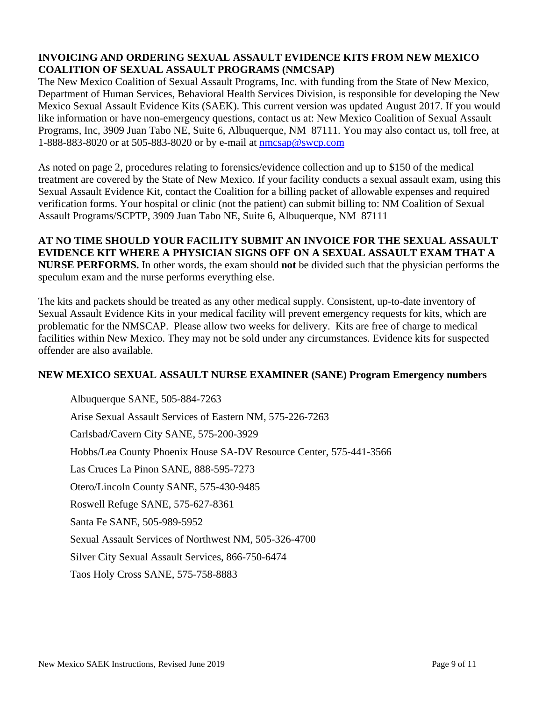#### **INVOICING AND ORDERING SEXUAL ASSAULT EVIDENCE KITS FROM NEW MEXICO COALITION OF SEXUAL ASSAULT PROGRAMS (NMCSAP)**

The New Mexico Coalition of Sexual Assault Programs, Inc. with funding from the State of New Mexico, Department of Human Services, Behavioral Health Services Division, is responsible for developing the New Mexico Sexual Assault Evidence Kits (SAEK). This current version was updated August 2017. If you would like information or have non-emergency questions, contact us at: New Mexico Coalition of Sexual Assault Programs, Inc, 3909 Juan Tabo NE, Suite 6, Albuquerque, NM 87111. You may also contact us, toll free, at 1-888-883-8020 or at 505-883-8020 or by e-mail at nmcsap@swcp.com

As noted on page 2, procedures relating to forensics/evidence collection and up to \$150 of the medical treatment are covered by the State of New Mexico. If your facility conducts a sexual assault exam, using this Sexual Assault Evidence Kit, contact the Coalition for a billing packet of allowable expenses and required verification forms. Your hospital or clinic (not the patient) can submit billing to: NM Coalition of Sexual Assault Programs/SCPTP, 3909 Juan Tabo NE, Suite 6, Albuquerque, NM 87111

**AT NO TIME SHOULD YOUR FACILITY SUBMIT AN INVOICE FOR THE SEXUAL ASSAULT EVIDENCE KIT WHERE A PHYSICIAN SIGNS OFF ON A SEXUAL ASSAULT EXAM THAT A NURSE PERFORMS.** In other words, the exam should **not** be divided such that the physician performs the speculum exam and the nurse performs everything else.

The kits and packets should be treated as any other medical supply. Consistent, up-to-date inventory of Sexual Assault Evidence Kits in your medical facility will prevent emergency requests for kits, which are problematic for the NMSCAP. Please allow two weeks for delivery. Kits are free of charge to medical facilities within New Mexico. They may not be sold under any circumstances. Evidence kits for suspected offender are also available.

### **NEW MEXICO SEXUAL ASSAULT NURSE EXAMINER (SANE) Program Emergency numbers**

Albuquerque SANE, 505-884-7263 Arise Sexual Assault Services of Eastern NM, 575-226-7263 Carlsbad/Cavern City SANE, 575-200-3929 Hobbs/Lea County Phoenix House SA-DV Resource Center, 575-441-3566 Las Cruces La Pinon SANE, 888-595-7273 Otero/Lincoln County SANE, 575-430-9485 Roswell Refuge SANE, 575-627-8361 Santa Fe SANE, 505-989-5952 Sexual Assault Services of Northwest NM, 505-326-4700 Silver City Sexual Assault Services, 866-750-6474 Taos Holy Cross SANE, 575-758-8883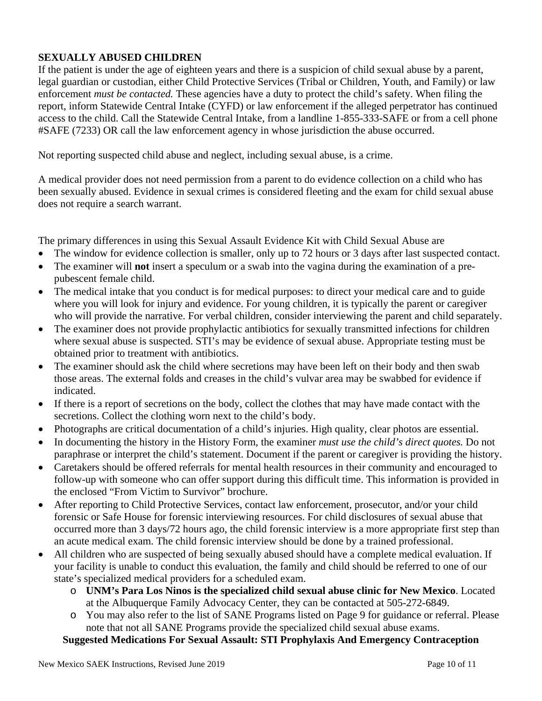## **SEXUALLY ABUSED CHILDREN**

If the patient is under the age of eighteen years and there is a suspicion of child sexual abuse by a parent, legal guardian or custodian, either Child Protective Services (Tribal or Children, Youth, and Family) or law enforcement *must be contacted*. These agencies have a duty to protect the child's safety. When filing the report, inform Statewide Central Intake (CYFD) or law enforcement if the alleged perpetrator has continued access to the child. Call the Statewide Central Intake, from a landline 1-855-333-SAFE or from a cell phone #SAFE (7233) OR call the law enforcement agency in whose jurisdiction the abuse occurred.

Not reporting suspected child abuse and neglect, including sexual abuse, is a crime.

A medical provider does not need permission from a parent to do evidence collection on a child who has been sexually abused. Evidence in sexual crimes is considered fleeting and the exam for child sexual abuse does not require a search warrant.

The primary differences in using this Sexual Assault Evidence Kit with Child Sexual Abuse are

- The window for evidence collection is smaller, only up to 72 hours or 3 days after last suspected contact.
- The examiner will **not** insert a speculum or a swab into the vagina during the examination of a prepubescent female child.
- The medical intake that you conduct is for medical purposes: to direct your medical care and to guide where you will look for injury and evidence. For young children, it is typically the parent or caregiver who will provide the narrative. For verbal children, consider interviewing the parent and child separately.
- The examiner does not provide prophylactic antibiotics for sexually transmitted infections for children where sexual abuse is suspected. STI's may be evidence of sexual abuse. Appropriate testing must be obtained prior to treatment with antibiotics.
- The examiner should ask the child where secretions may have been left on their body and then swab those areas. The external folds and creases in the child's vulvar area may be swabbed for evidence if indicated.
- If there is a report of secretions on the body, collect the clothes that may have made contact with the secretions. Collect the clothing worn next to the child's body.
- Photographs are critical documentation of a child's injuries. High quality, clear photos are essential.
- In documenting the history in the History Form, the examiner *must use the child's direct quotes.* Do not paraphrase or interpret the child's statement. Document if the parent or caregiver is providing the history.
- Caretakers should be offered referrals for mental health resources in their community and encouraged to follow-up with someone who can offer support during this difficult time. This information is provided in the enclosed "From Victim to Survivor" brochure.
- After reporting to Child Protective Services, contact law enforcement, prosecutor, and/or your child forensic or Safe House for forensic interviewing resources. For child disclosures of sexual abuse that occurred more than 3 days/72 hours ago, the child forensic interview is a more appropriate first step than an acute medical exam. The child forensic interview should be done by a trained professional.
- All children who are suspected of being sexually abused should have a complete medical evaluation. If your facility is unable to conduct this evaluation, the family and child should be referred to one of our state's specialized medical providers for a scheduled exam.
	- o **UNM's Para Los Ninos is the specialized child sexual abuse clinic for New Mexico**. Located at the Albuquerque Family Advocacy Center, they can be contacted at 505-272-6849.
	- o You may also refer to the list of SANE Programs listed on Page 9 for guidance or referral. Please note that not all SANE Programs provide the specialized child sexual abuse exams.

### **Suggested Medications For Sexual Assault: STI Prophylaxis And Emergency Contraception**